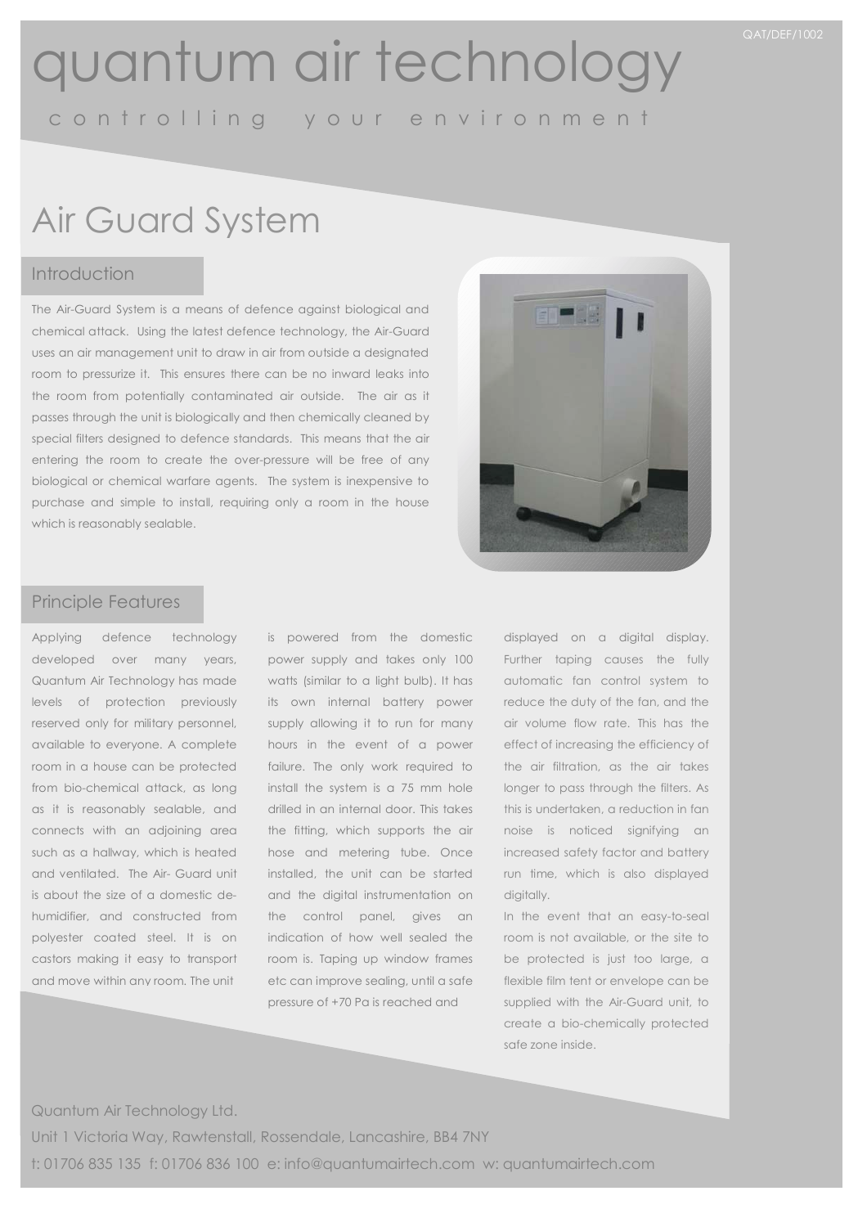## quantum air technology

c o n t r o l l i n g y o u r e n v i r o n m e n t

## Air Guard System

### Introduction

The Air-Guard System is a means of defence against biological and chemical attack. Using the latest defence technology, the Air-Guard uses an air management unit to draw in air from outside a designated room to pressurize it. This ensures there can be no inward leaks into the room from potentially contaminated air outside. The air as it passes through the unit is biologically and then chemically cleaned by special filters designed to defence standards. This means that the air entering the room to create the over-pressure will be free of any biological or chemical warfare agents. The system is inexpensive to purchase and simple to install, requiring only a room in the house which is reasonably sealable.



### Principle Features

Applying defence technology developed over many years, Quantum Air Technology has made levels of protection previously reserved only for military personnel, available to everyone. A complete room in a house can be protected from bio-chemical attack, as long as it is reasonably sealable, and connects with an adjoining area such as a hallway, which is heated and ventilated. The Air- Guard unit is about the size of a domestic dehumidifier, and constructed from polyester coated steel. It is on castors making it easy to transport and move within any room. The unit

is powered from the domestic power supply and takes only 100 watts (similar to a light bulb). It has its own internal battery power supply allowing it to run for many hours in the event of a power failure. The only work required to install the system is a 75 mm hole drilled in an internal door. This takes the fitting, which supports the air hose and metering tube. Once installed, the unit can be started and the digital instrumentation on the control panel, gives an indication of how well sealed the room is. Taping up window frames etc can improve sealing, until a safe pressure of +70 Pa is reached and

displayed on a digital display. Further taping causes the fully automatic fan control system to reduce the duty of the fan, and the air volume flow rate. This has the effect of increasing the efficiency of the air filtration, as the air takes longer to pass through the filters. As this is undertaken, a reduction in fan noise is noticed signifying an increased safety factor and battery run time, which is also displayed digitally.

In the event that an easy-to-seal room is not available, or the site to be protected is just too large, a flexible film tent or envelope can be supplied with the Air-Guard unit, to create a bio-chemically protected safe zone inside.

Quantum Air Technology Ltd.

Unit 1 Victoria Way, Rawtenstall, Rossendale, Lancashire, BB4 7NY t: 01706 835 135 f: 01706 836 100 e: info@quantumairtech.com w: quantumairtech.com